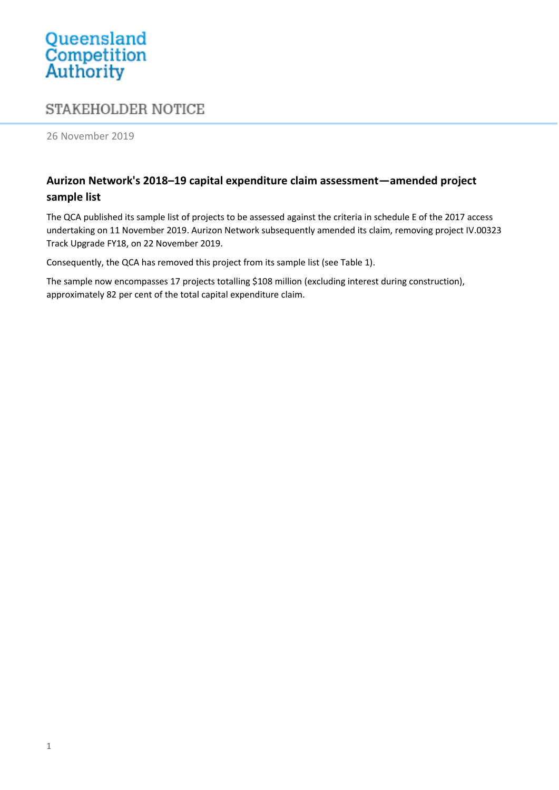## Queensland<br>Competition<br>Authority

## STAKEHOLDER NOTICE

26 November 2019

## **Aurizon Network's 2018–19 capital expenditure claim assessment—amended project sample list**

The QCA published its sample list of projects to be assessed against the criteria in schedule E of the 2017 access undertaking on 11 November 2019. Aurizon Network subsequently amended its claim, removing project IV.00323 Track Upgrade FY18, on 22 November 2019.

Consequently, the QCA has removed this project from its sample list (see Table 1).

The sample now encompasses 17 projects totalling \$108 million (excluding interest during construction), approximately 82 per cent of the total capital expenditure claim.